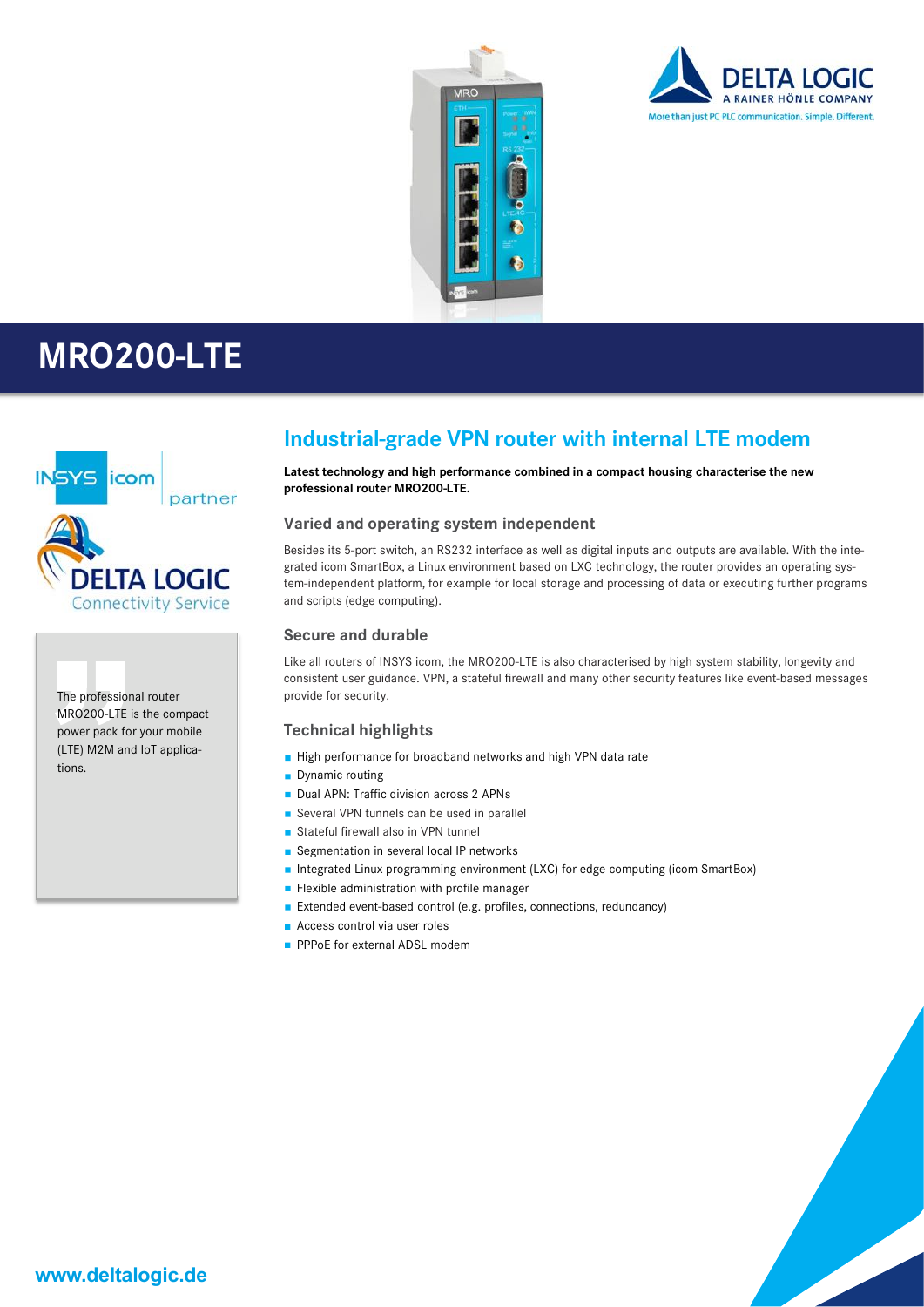





The professional router MRO200-LTE is the compact power pack for your mobile (LTE) M2M and IoT applications.

### **Industrial-grade VPN router with internal LTE modem**

**Latest technology and high performance combined in a compact housing characterise the new professional router MRO200-LTE.**

#### **Varied and operating system independent**

Besides its 5-port switch, an RS232 interface as well as digital inputs and outputs are available. With the integrated icom SmartBox, a Linux environment based on LXC technology, the router provides an operating system-independent platform, for example for local storage and processing of data or executing further programs and scripts (edge computing).

#### **Secure and durable**

Like all routers of INSYS icom, the MRO200-LTE is also characterised by high system stability, longevity and consistent user guidance. VPN, a stateful firewall and many other security features like event-based messages provide for security.

#### **Technical highlights**

- High performance for broadband networks and high VPN data rate
- Dynamic routing
- Dual APN: Traffic division across 2 APNs
- Several VPN tunnels can be used in parallel
- Stateful firewall also in VPN tunnel
- Segmentation in several local IP networks
- Integrated Linux programming environment (LXC) for edge computing (icom SmartBox)
- **Flexible administration with profile manager**
- Extended event-based control (e.g. profiles, connections, redundancy)
- Access control via user roles
- **PPPoE for external ADSL modem**

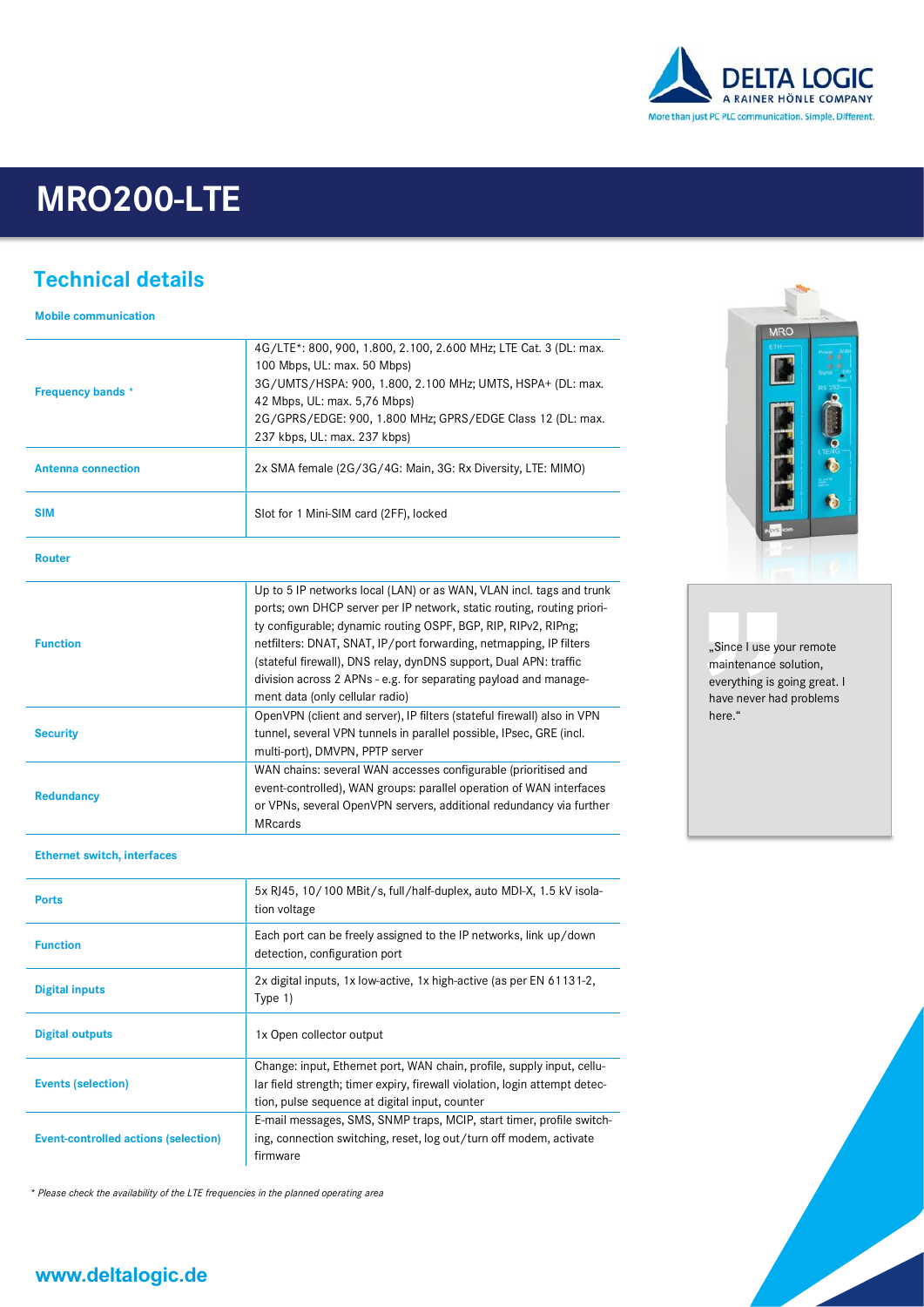

## **Technical details**

**Mobile communication**

| <b>Frequency bands</b> *  | 4G/LTE*: 800, 900, 1.800, 2.100, 2.600 MHz; LTE Cat. 3 (DL: max.<br>100 Mbps, UL: max. 50 Mbps)<br>3G/UMTS/HSPA: 900, 1.800, 2.100 MHz; UMTS, HSPA+ (DL: max.<br>42 Mbps, UL: max. 5,76 Mbps)<br>2G/GPRS/EDGE: 900, 1.800 MHz; GPRS/EDGE Class 12 (DL: max.<br>237 kbps, UL: max. 237 kbps)                                                                                                                                                                        |
|---------------------------|--------------------------------------------------------------------------------------------------------------------------------------------------------------------------------------------------------------------------------------------------------------------------------------------------------------------------------------------------------------------------------------------------------------------------------------------------------------------|
| <b>Antenna connection</b> | 2x SMA female (2G/3G/4G: Main, 3G: Rx Diversity, LTE: MIMO)                                                                                                                                                                                                                                                                                                                                                                                                        |
| <b>SIM</b>                | Slot for 1 Mini-SIM card (2FF), locked                                                                                                                                                                                                                                                                                                                                                                                                                             |
| <b>Router</b>             |                                                                                                                                                                                                                                                                                                                                                                                                                                                                    |
| <b>Function</b>           | Up to 5 IP networks local (LAN) or as WAN, VLAN incl. tags and trunk<br>ports; own DHCP server per IP network, static routing, routing priori-<br>ty configurable; dynamic routing OSPF, BGP, RIP, RIPv2, RIPng;<br>netfilters: DNAT, SNAT, IP/port forwarding, netmapping, IP filters<br>(stateful firewall), DNS relay, dynDNS support, Dual APN: traffic<br>division across 2 APNs - e.g. for separating payload and manage-<br>ment data (only cellular radio) |
| <b>Security</b>           | OpenVPN (client and server), IP filters (stateful firewall) also in VPN<br>tunnel, several VPN tunnels in parallel possible, IPsec, GRE (incl.<br>multi-port), DMVPN, PPTP server                                                                                                                                                                                                                                                                                  |
| <b>Redundancy</b>         | WAN chains: several WAN accesses configurable (prioritised and<br>event-controlled), WAN groups: parallel operation of WAN interfaces<br>or VPNs, several OpenVPN servers, additional redundancy via further<br><b>MRcards</b>                                                                                                                                                                                                                                     |

#### **Ethernet switch, interfaces**

| <b>Ports</b>                                | 5x RJ45, 10/100 MBit/s, full/half-duplex, auto MDI-X, 1.5 kV isola-<br>tion voltage                                                                                                                    |
|---------------------------------------------|--------------------------------------------------------------------------------------------------------------------------------------------------------------------------------------------------------|
| <b>Function</b>                             | Each port can be freely assigned to the IP networks, link up/down<br>detection, configuration port                                                                                                     |
| <b>Digital inputs</b>                       | 2x digital inputs, 1x low-active, 1x high-active (as per EN 61131-2,<br>Type 1)                                                                                                                        |
| <b>Digital outputs</b>                      | 1x Open collector output                                                                                                                                                                               |
| <b>Events (selection)</b>                   | Change: input, Ethernet port, WAN chain, profile, supply input, cellu-<br>lar field strength; timer expiry, firewall violation, login attempt detec-<br>tion, pulse sequence at digital input, counter |
| <b>Event-controlled actions (selection)</b> | E-mail messages, SMS, SNMP traps, MCIP, start timer, profile switch-<br>ing, connection switching, reset, log out/turn off modem, activate<br>firmware                                                 |

*\* Please check the availability of the LTE frequencies in the planned operating area*



"Since I use your remote maintenance solution, everything is going great. I have never had problems here."

### **www.deltalogic.de**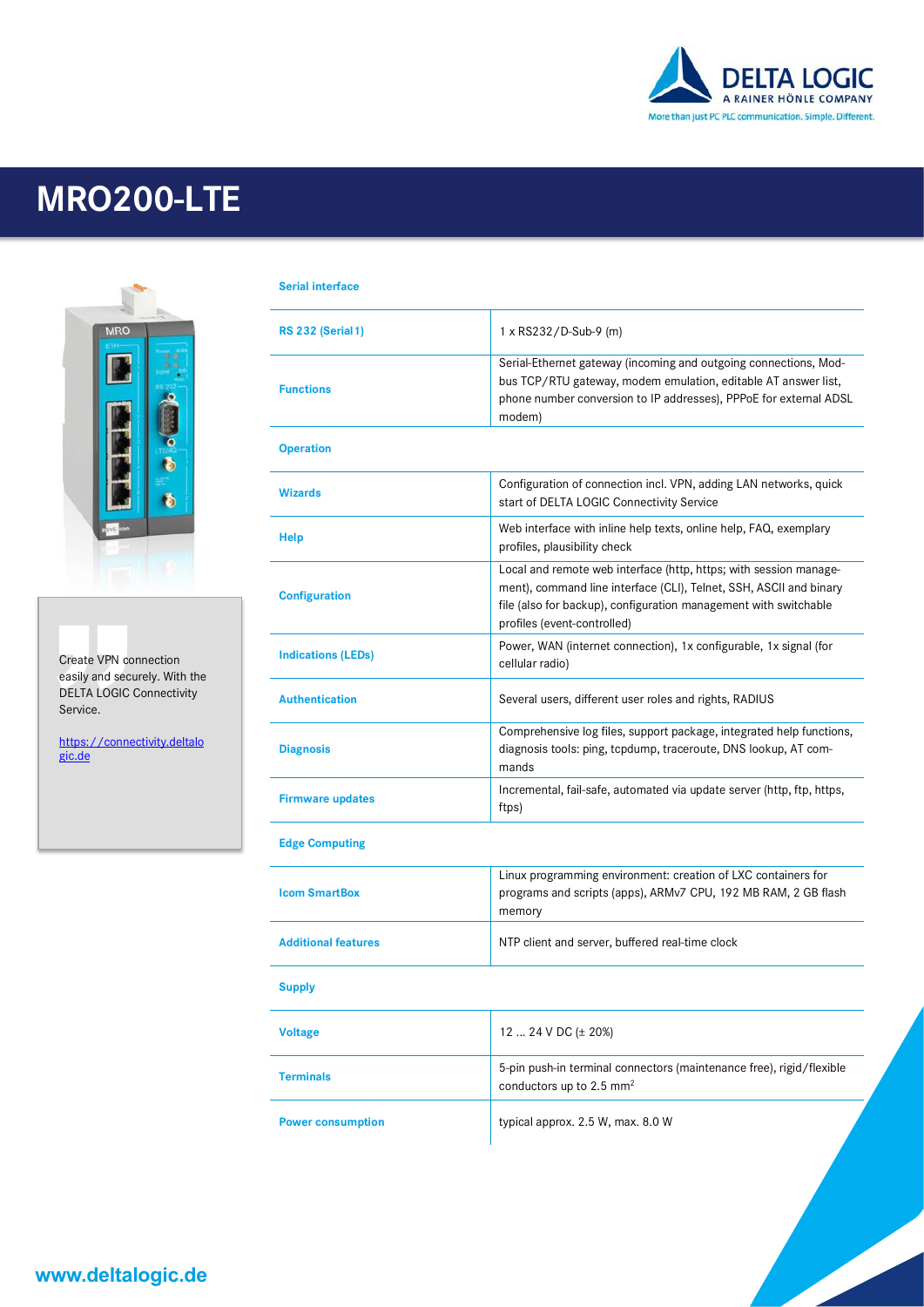



Create VPN connection easily and securely. With the DELTA LOGIC Connectivity Service.

https://connectivity.deltalo gic.de

| <b>Serial interface</b> |
|-------------------------|
|                         |

| <b>RS 232 (Serial 1)</b>   | 1 x RS232/D-Sub-9 (m)                                                                                                                                                                                                                      |
|----------------------------|--------------------------------------------------------------------------------------------------------------------------------------------------------------------------------------------------------------------------------------------|
| <b>Functions</b>           | Serial-Ethernet gateway (incoming and outgoing connections, Mod-<br>bus TCP/RTU gateway, modem emulation, editable AT answer list,<br>phone number conversion to IP addresses), PPPoE for external ADSL<br>modem)                          |
| <b>Operation</b>           |                                                                                                                                                                                                                                            |
| <b>Wizards</b>             | Configuration of connection incl. VPN, adding LAN networks, quick<br>start of DELTA LOGIC Connectivity Service                                                                                                                             |
| <b>Help</b>                | Web interface with inline help texts, online help, FAQ, exemplary<br>profiles, plausibility check                                                                                                                                          |
| <b>Configuration</b>       | Local and remote web interface (http, https; with session manage-<br>ment), command line interface (CLI), Telnet, SSH, ASCII and binary<br>file (also for backup), configuration management with switchable<br>profiles (event-controlled) |
| <b>Indications (LEDs)</b>  | Power, WAN (internet connection), 1x configurable, 1x signal (for<br>cellular radio)                                                                                                                                                       |
| <b>Authentication</b>      | Several users, different user roles and rights, RADIUS                                                                                                                                                                                     |
| <b>Diagnosis</b>           | Comprehensive log files, support package, integrated help functions,<br>diagnosis tools: ping, tcpdump, traceroute, DNS lookup, AT com-<br>mands                                                                                           |
| <b>Firmware updates</b>    | Incremental, fail-safe, automated via update server (http, ftp, https,<br>ftps)                                                                                                                                                            |
| <b>Edge Computing</b>      |                                                                                                                                                                                                                                            |
| <b>Icom SmartBox</b>       | Linux programming environment: creation of LXC containers for<br>programs and scripts (apps), ARMv7 CPU, 192 MB RAM, 2 GB flash<br>memory                                                                                                  |
| <b>Additional features</b> | NTP client and server, buffered real-time clock                                                                                                                                                                                            |
| <b>Supply</b>              |                                                                                                                                                                                                                                            |
| <b>Voltage</b>             | 12  24 V DC ( $\pm$ 20%)                                                                                                                                                                                                                   |
| <b>Terminals</b>           | 5-pin push-in terminal connectors (maintenance free), rigid/flexible<br>conductors up to 2.5 mm <sup>2</sup>                                                                                                                               |
| <b>Power consumption</b>   | typical approx. 2.5 W, max. 8.0 W                                                                                                                                                                                                          |